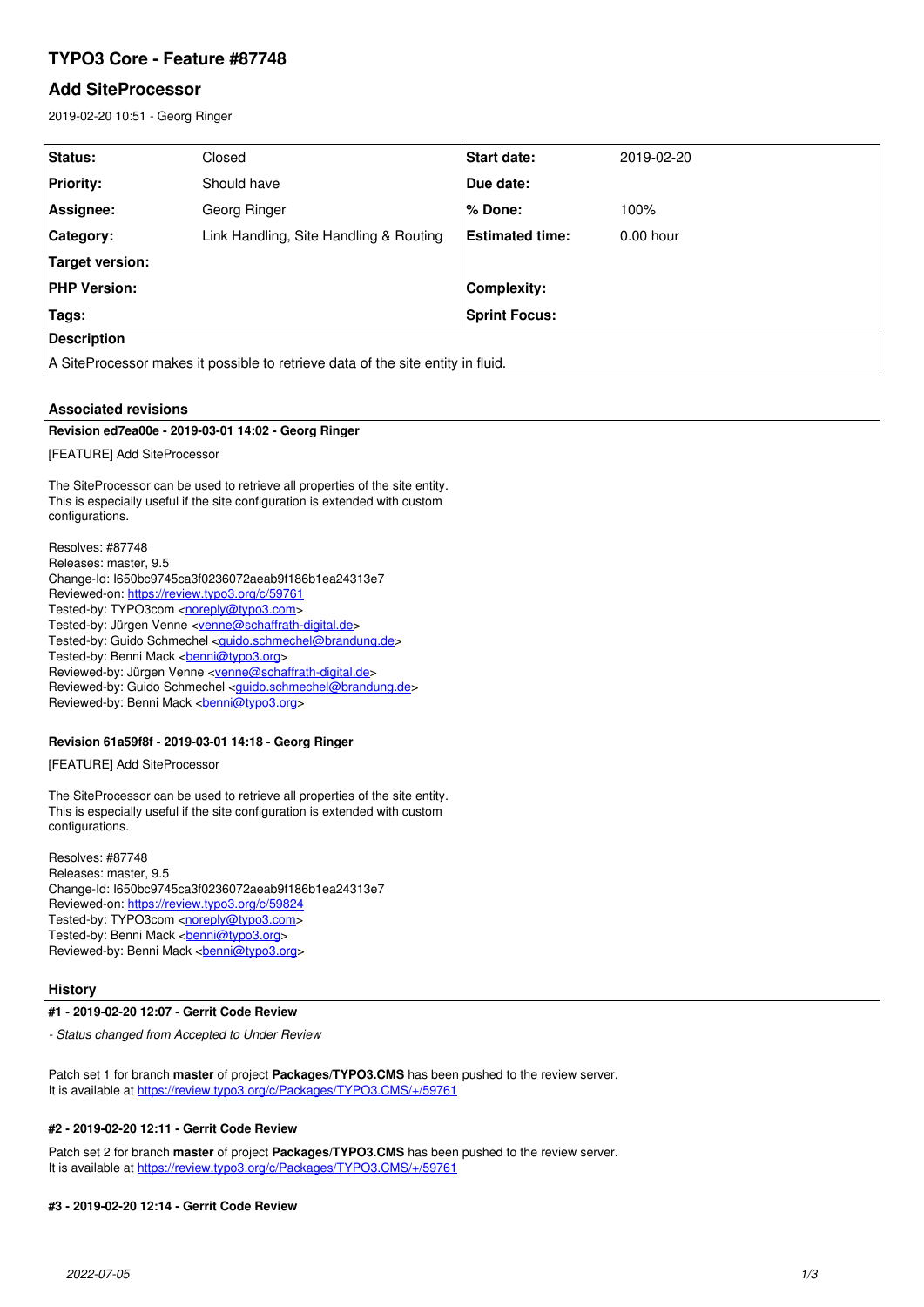# **TYPO3 Core - Feature #87748**

## **Add SiteProcessor**

2019-02-20 10:51 - Georg Ringer

| Status:                                                                         | Closed                                 | <b>Start date:</b>     | 2019-02-20  |
|---------------------------------------------------------------------------------|----------------------------------------|------------------------|-------------|
| <b>Priority:</b>                                                                | Should have                            | Due date:              |             |
| Assignee:                                                                       | Georg Ringer                           | % Done:                | 100%        |
| Category:                                                                       | Link Handling, Site Handling & Routing | <b>Estimated time:</b> | $0.00$ hour |
| Target version:                                                                 |                                        |                        |             |
| <b>PHP Version:</b>                                                             |                                        | <b>Complexity:</b>     |             |
| Tags:                                                                           |                                        | <b>Sprint Focus:</b>   |             |
| <b>Description</b>                                                              |                                        |                        |             |
| A SiteProcessor makes it possible to retrieve data of the site entity in fluid. |                                        |                        |             |

## **Associated revisions**

#### **Revision ed7ea00e - 2019-03-01 14:02 - Georg Ringer**

[FEATURE] Add SiteProcessor

The SiteProcessor can be used to retrieve all properties of the site entity. This is especially useful if the site configuration is extended with custom configurations.

Resolves: #87748 Releases: master, 9.5 Change-Id: I650bc9745ca3f0236072aeab9f186b1ea24313e7 Reviewed-on:<https://review.typo3.org/c/59761> Tested-by: TYPO3com [<noreply@typo3.com>](mailto:noreply@typo3.com) Tested-by: Jürgen Venne <[venne@schaffrath-digital.de>](mailto:venne@schaffrath-digital.de) Tested-by: Guido Schmechel <quido.schmechel@brandung.de> Tested-by: Benni Mack <br />
<u>benni@typo3.org</u>> Reviewed-by: Jürgen Venne <[venne@schaffrath-digital.de](mailto:venne@schaffrath-digital.de)> Reviewed-by: Guido Schmechel <[guido.schmechel@brandung.de>](mailto:guido.schmechel@brandung.de) Reviewed-by: Benni Mack <br/>
<u><br/>benni@typo3.org</u>>

## **Revision 61a59f8f - 2019-03-01 14:18 - Georg Ringer**

[FEATURE] Add SiteProcessor

The SiteProcessor can be used to retrieve all properties of the site entity. This is especially useful if the site configuration is extended with custom configurations.

Resolves: #87748 Releases: master, 9.5 Change-Id: I650bc9745ca3f0236072aeab9f186b1ea24313e7 Reviewed-on:<https://review.typo3.org/c/59824> Tested-by: TYPO3com [<noreply@typo3.com>](mailto:noreply@typo3.com) Tested-by: Benni Mack <br />
chani@typo3.org> Reviewed-by: Benni Mack <br/> <br/>penni@typo3.org>

#### **History**

## **#1 - 2019-02-20 12:07 - Gerrit Code Review**

*- Status changed from Accepted to Under Review*

Patch set 1 for branch **master** of project **Packages/TYPO3.CMS** has been pushed to the review server. It is available at <https://review.typo3.org/c/Packages/TYPO3.CMS/+/59761>

## **#2 - 2019-02-20 12:11 - Gerrit Code Review**

Patch set 2 for branch **master** of project **Packages/TYPO3.CMS** has been pushed to the review server. It is available at <https://review.typo3.org/c/Packages/TYPO3.CMS/+/59761>

#### **#3 - 2019-02-20 12:14 - Gerrit Code Review**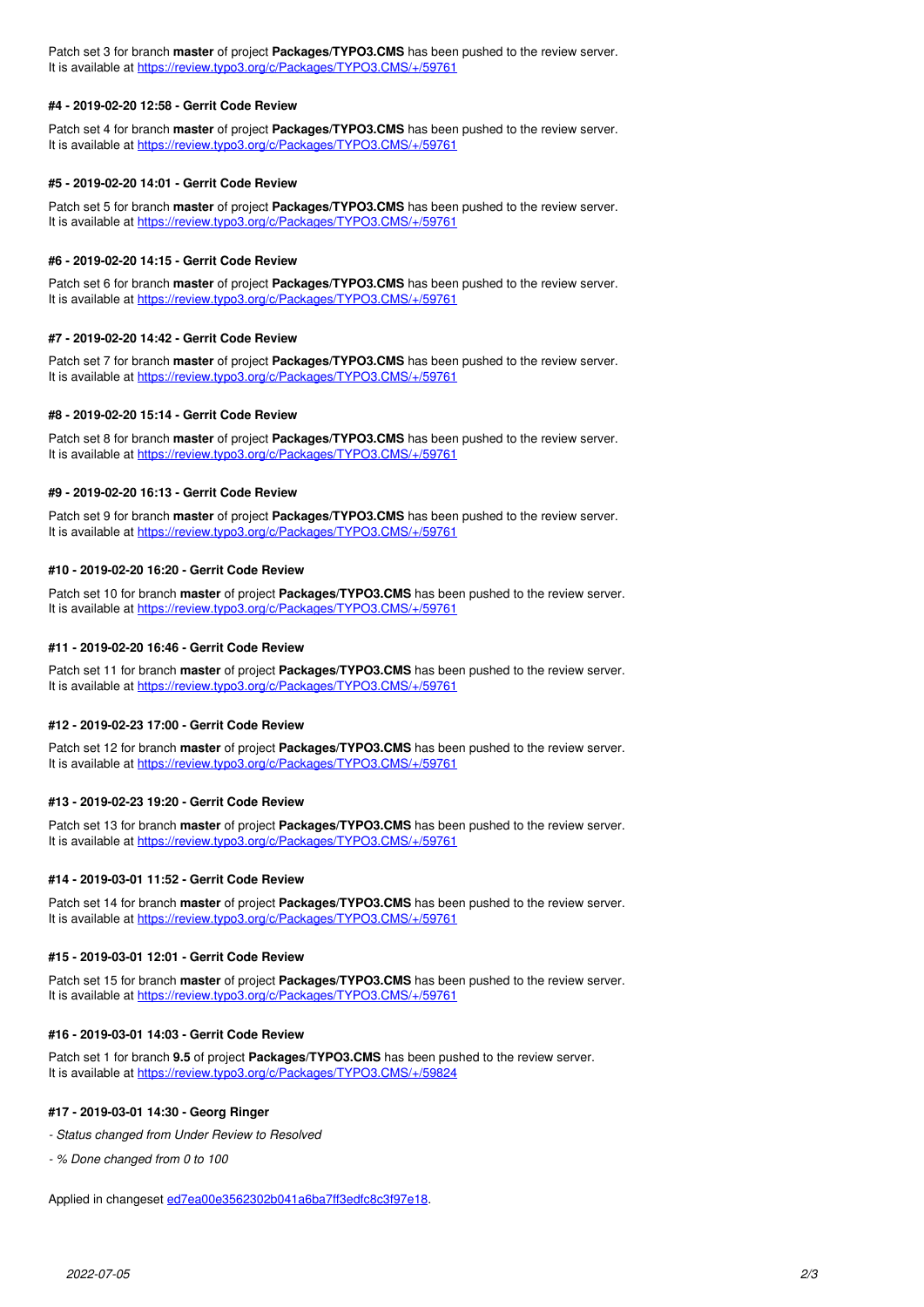Patch set 3 for branch **master** of project **Packages/TYPO3.CMS** has been pushed to the review server. It is available at <https://review.typo3.org/c/Packages/TYPO3.CMS/+/59761>

## **#4 - 2019-02-20 12:58 - Gerrit Code Review**

Patch set 4 for branch **master** of project **Packages/TYPO3.CMS** has been pushed to the review server. It is available at <https://review.typo3.org/c/Packages/TYPO3.CMS/+/59761>

#### **#5 - 2019-02-20 14:01 - Gerrit Code Review**

Patch set 5 for branch **master** of project **Packages/TYPO3.CMS** has been pushed to the review server. It is available at <https://review.typo3.org/c/Packages/TYPO3.CMS/+/59761>

#### **#6 - 2019-02-20 14:15 - Gerrit Code Review**

Patch set 6 for branch **master** of project **Packages/TYPO3.CMS** has been pushed to the review server. It is available at <https://review.typo3.org/c/Packages/TYPO3.CMS/+/59761>

#### **#7 - 2019-02-20 14:42 - Gerrit Code Review**

Patch set 7 for branch **master** of project **Packages/TYPO3.CMS** has been pushed to the review server. It is available at <https://review.typo3.org/c/Packages/TYPO3.CMS/+/59761>

#### **#8 - 2019-02-20 15:14 - Gerrit Code Review**

Patch set 8 for branch **master** of project **Packages/TYPO3.CMS** has been pushed to the review server. It is available at <https://review.typo3.org/c/Packages/TYPO3.CMS/+/59761>

#### **#9 - 2019-02-20 16:13 - Gerrit Code Review**

Patch set 9 for branch **master** of project **Packages/TYPO3.CMS** has been pushed to the review server. It is available at <https://review.typo3.org/c/Packages/TYPO3.CMS/+/59761>

#### **#10 - 2019-02-20 16:20 - Gerrit Code Review**

Patch set 10 for branch **master** of project **Packages/TYPO3.CMS** has been pushed to the review server. It is available at <https://review.typo3.org/c/Packages/TYPO3.CMS/+/59761>

#### **#11 - 2019-02-20 16:46 - Gerrit Code Review**

Patch set 11 for branch **master** of project **Packages/TYPO3.CMS** has been pushed to the review server. It is available at <https://review.typo3.org/c/Packages/TYPO3.CMS/+/59761>

## **#12 - 2019-02-23 17:00 - Gerrit Code Review**

Patch set 12 for branch **master** of project **Packages/TYPO3.CMS** has been pushed to the review server. It is available at <https://review.typo3.org/c/Packages/TYPO3.CMS/+/59761>

## **#13 - 2019-02-23 19:20 - Gerrit Code Review**

Patch set 13 for branch **master** of project **Packages/TYPO3.CMS** has been pushed to the review server. It is available at <https://review.typo3.org/c/Packages/TYPO3.CMS/+/59761>

## **#14 - 2019-03-01 11:52 - Gerrit Code Review**

Patch set 14 for branch **master** of project **Packages/TYPO3.CMS** has been pushed to the review server. It is available at <https://review.typo3.org/c/Packages/TYPO3.CMS/+/59761>

## **#15 - 2019-03-01 12:01 - Gerrit Code Review**

Patch set 15 for branch **master** of project **Packages/TYPO3.CMS** has been pushed to the review server. It is available at <https://review.typo3.org/c/Packages/TYPO3.CMS/+/59761>

## **#16 - 2019-03-01 14:03 - Gerrit Code Review**

Patch set 1 for branch **9.5** of project **Packages/TYPO3.CMS** has been pushed to the review server. It is available at <https://review.typo3.org/c/Packages/TYPO3.CMS/+/59824>

## **#17 - 2019-03-01 14:30 - Georg Ringer**

- *Status changed from Under Review to Resolved*
- *% Done changed from 0 to 100*

Applied in changeset [ed7ea00e3562302b041a6ba7ff3edfc8c3f97e18.](https://forge.typo3.org/projects/typo3cms-core/repository/1749/revisions/ed7ea00e3562302b041a6ba7ff3edfc8c3f97e18)